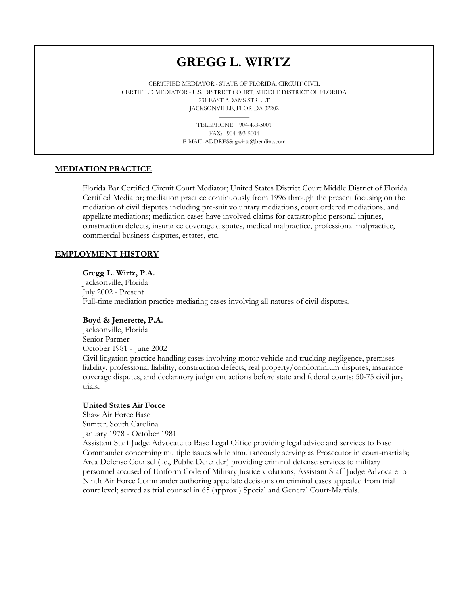# **GREGG L. WIRTZ**

CERTIFIED MEDIATOR - STATE OF FLORIDA, CIRCUIT CIVIL CERTIFIED MEDIATOR - U.S. DISTRICT COURT, MIDDLE DISTRICT OF FLORIDA 231 EAST ADAMS STREET JACKSONVILLE, FLORIDA 32202

> TELEPHONE: 904-493-5001 FAX: 904-493-5004 E-MAIL ADDRESS: gwirtz@bendinc.com

## **MEDIATION PRACTICE**

and the contract of the contract of the contract of the contract of the contract of the contract of the contract of

Florida Bar Certified Circuit Court Mediator; United States District Court Middle District of Florida Certified Mediator; mediation practice continuously from 1996 through the present focusing on the mediation of civil disputes including pre-suit voluntary mediations, court ordered mediations, and appellate mediations; mediation cases have involved claims for catastrophic personal injuries, construction defects, insurance coverage disputes, medical malpractice, professional malpractice, commercial business disputes, estates, etc.

## **EMPLOYMENT HISTORY**

## **Gregg L. Wirtz, P.A.**

Jacksonville, Florida July 2002 - Present Full-time mediation practice mediating cases involving all natures of civil disputes.

#### **Boyd & Jenerette, P.A.**

Jacksonville, Florida Senior Partner October 1981 - June 2002 Civil litigation practice handling cases involving motor vehicle and trucking negligence, premises liability, professional liability, construction defects, real property/condominium disputes; insurance coverage disputes, and declaratory judgment actions before state and federal courts; 50-75 civil jury trials.

## **United States Air Force**

Shaw Air Force Base Sumter, South Carolina January 1978 - October 1981

Assistant Staff Judge Advocate to Base Legal Office providing legal advice and services to Base Commander concerning multiple issues while simultaneously serving as Prosecutor in court-martials; Area Defense Counsel (i.e., Public Defender) providing criminal defense services to military personnel accused of Uniform Code of Military Justice violations; Assistant Staff Judge Advocate to Ninth Air Force Commander authoring appellate decisions on criminal cases appealed from trial court level; served as trial counsel in 65 (approx.) Special and General Court-Martials.